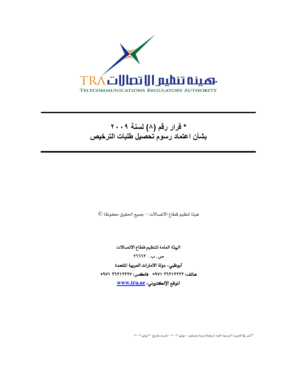

# \* قرار رقم (٨) لسنة ٢٠٠٩ بشأن اعتماد رسوم تحصيل طلبات الترخيص

هيئة تنظيم قطاع الاتصالات — جميع الحقوق محفوظة ©

الهيئة العامة لتنظيم قطاع الاتصالات  $NTI17.17.$ ص.ب أبوظبي، دولة الامارات العربية المتحدة هاتف: ٢٦٢١٢٢٢٢ ٩٧١ + هاكس: ٢٦٢١٢٢٧ ٢٦٢١ الموقع الإلكتروني: www.tra.ae

\*نشر في الجريدة الرسمية العدد أربعمائة وستة وتسعون – يوليو ٢٠٠٩ – نشرت بتاريخ ٣٠ يوليو ٢٠٠٩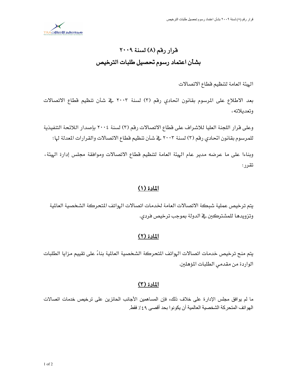

# قرار رقم (٨) لسنة ٢٠٠٩ بشأن اعتماد رسوم تحصيل طلبات الترخيص

الهيئة العامة لتنظيم فطاع الاتصالات

بعد الاطلاع على المرسوم بقانون اتحادي رقم (٣) لسنة ٢٠٠٣ في شأن تنظيم قطاع الاتصالات وتعدىلاته،

وعلى قرار اللجنة العليا للاشراف على قطاع الاتصالات رقم (٣) لسنة ٢٠٠٤ بإصدار اللائحة التنفيذية للمرسوم بقانون اتحادي رقم (٣) لسنة ٢٠٠٣ في شأن تنظيم قطاع الاتصالات والقرارات المعدلة لها؛

وبناءا على ما عرضه مدير عام الهيئة العامة لتنظيم فطاع الاتصالات وموافقة مجلس إدارة الهيئة، تقرر :

# المادة (١)

يتم ترخيص عملية شبكة الاتصالات العامة لخدمات اتصالات الهواتف المتحركة الشخصية العالمية وتزويدها للمشتركين في الدولة بموجب ترخيص فردي.

# المادة (٢)

يتم منح ترخيص خدمات اتصالات الهواتف المتحركة الشخصية العالمية بناءً على تقييم مزايا الطلبات الواردة من مقدمي الطلبات المؤهلين.

# <u>المادة (٣)</u>

ما لم يوافق مجلس الإدار ةعلى خلاف ذلك، فإن المساهمين الأجانب الحائزين على ترخيص خدمات اتصالات الهواتف المتحركة الشخصية العالمية أن يكونوا بحد أقصىي ٤٩٪ فقط